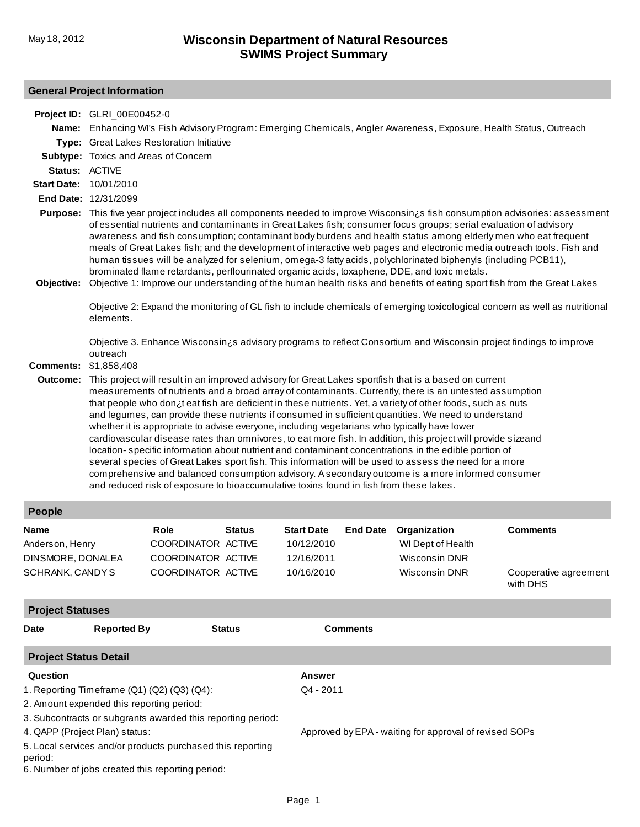# **General Project Information**

**Project ID:** GLRI\_00E00452-0

|                                                                                                                           | Name: Enhancing WI's Fish Advisory Program: Emerging Chemicals, Angler Awareness, Exposure, Health Status, Outreach                                                                                                                                                                                                                                                                                                                                                                                                                                                                                                                                                                                                                                                                                                                                                                                                                                                                                                                                                        |                                                                               |               |                                                             |                 |                                                                     |                                          |  |  |
|---------------------------------------------------------------------------------------------------------------------------|----------------------------------------------------------------------------------------------------------------------------------------------------------------------------------------------------------------------------------------------------------------------------------------------------------------------------------------------------------------------------------------------------------------------------------------------------------------------------------------------------------------------------------------------------------------------------------------------------------------------------------------------------------------------------------------------------------------------------------------------------------------------------------------------------------------------------------------------------------------------------------------------------------------------------------------------------------------------------------------------------------------------------------------------------------------------------|-------------------------------------------------------------------------------|---------------|-------------------------------------------------------------|-----------------|---------------------------------------------------------------------|------------------------------------------|--|--|
|                                                                                                                           | Type: Great Lakes Restoration Initiative                                                                                                                                                                                                                                                                                                                                                                                                                                                                                                                                                                                                                                                                                                                                                                                                                                                                                                                                                                                                                                   |                                                                               |               |                                                             |                 |                                                                     |                                          |  |  |
|                                                                                                                           | Subtype: Toxics and Areas of Concern                                                                                                                                                                                                                                                                                                                                                                                                                                                                                                                                                                                                                                                                                                                                                                                                                                                                                                                                                                                                                                       |                                                                               |               |                                                             |                 |                                                                     |                                          |  |  |
| Status: ACTIVE                                                                                                            |                                                                                                                                                                                                                                                                                                                                                                                                                                                                                                                                                                                                                                                                                                                                                                                                                                                                                                                                                                                                                                                                            |                                                                               |               |                                                             |                 |                                                                     |                                          |  |  |
| <b>Start Date:</b>                                                                                                        | 10/01/2010                                                                                                                                                                                                                                                                                                                                                                                                                                                                                                                                                                                                                                                                                                                                                                                                                                                                                                                                                                                                                                                                 |                                                                               |               |                                                             |                 |                                                                     |                                          |  |  |
|                                                                                                                           | End Date: 12/31/2099                                                                                                                                                                                                                                                                                                                                                                                                                                                                                                                                                                                                                                                                                                                                                                                                                                                                                                                                                                                                                                                       |                                                                               |               |                                                             |                 |                                                                     |                                          |  |  |
| Objective:                                                                                                                | Purpose: This five year project includes all components needed to improve Wisconsin is fish consumption advisories: assessment<br>of essential nutrients and contaminants in Great Lakes fish; consumer focus groups; serial evaluation of advisory<br>awareness and fish consumption; contaminant body burdens and health status among elderly men who eat frequent<br>meals of Great Lakes fish; and the development of interactive web pages and electronic media outreach tools. Fish and<br>human tissues will be analyzed for selenium, omega-3 fatty acids, polychlorinated biphenyls (including PCB11),<br>brominated flame retardants, perflourinated organic acids, toxaphene, DDE, and toxic metals.<br>Objective 1: Improve our understanding of the human health risks and benefits of eating sport fish from the Great Lakes                                                                                                                                                                                                                                 |                                                                               |               |                                                             |                 |                                                                     |                                          |  |  |
|                                                                                                                           | Objective 2: Expand the monitoring of GL fish to include chemicals of emerging toxicological concern as well as nutritional<br>elements.                                                                                                                                                                                                                                                                                                                                                                                                                                                                                                                                                                                                                                                                                                                                                                                                                                                                                                                                   |                                                                               |               |                                                             |                 |                                                                     |                                          |  |  |
| <b>Comments:</b>                                                                                                          | Objective 3. Enhance Wisconsin¿s advisory programs to reflect Consortium and Wisconsin project findings to improve<br>outreach<br>\$1,858,408                                                                                                                                                                                                                                                                                                                                                                                                                                                                                                                                                                                                                                                                                                                                                                                                                                                                                                                              |                                                                               |               |                                                             |                 |                                                                     |                                          |  |  |
| Outcome:                                                                                                                  | This project will result in an improved advisory for Great Lakes sportfish that is a based on current<br>measurements of nutrients and a broad array of contaminants. Currently, there is an untested assumption<br>that people who don it eat fish are deficient in these nutrients. Yet, a variety of other foods, such as nuts<br>and legumes, can provide these nutrients if consumed in sufficient quantities. We need to understand<br>whether it is appropriate to advise everyone, including vegetarians who typically have lower<br>cardiovascular disease rates than omnivores, to eat more fish. In addition, this project will provide sizeand<br>location-specific information about nutrient and contaminant concentrations in the edible portion of<br>several species of Great Lakes sport fish. This information will be used to assess the need for a more<br>comprehensive and balanced consumption advisory. A secondary outcome is a more informed consumer<br>and reduced risk of exposure to bioaccumulative toxins found in fish from these lakes. |                                                                               |               |                                                             |                 |                                                                     |                                          |  |  |
| People                                                                                                                    |                                                                                                                                                                                                                                                                                                                                                                                                                                                                                                                                                                                                                                                                                                                                                                                                                                                                                                                                                                                                                                                                            |                                                                               |               |                                                             |                 |                                                                     |                                          |  |  |
| Name<br>Anderson, Henry<br>DINSMORE, DONALEA<br>SCHRANK, CANDYS                                                           |                                                                                                                                                                                                                                                                                                                                                                                                                                                                                                                                                                                                                                                                                                                                                                                                                                                                                                                                                                                                                                                                            | <b>Role</b><br>COORDINATOR ACTIVE<br>COORDINATOR ACTIVE<br>COORDINATOR ACTIVE | <b>Status</b> | <b>Start Date</b><br>10/12/2010<br>12/16/2011<br>10/16/2010 | <b>End Date</b> | Organization<br>WI Dept of Health<br>Wisconsin DNR<br>Wisconsin DNR | <b>Comments</b><br>Cooperative agreement |  |  |
|                                                                                                                           |                                                                                                                                                                                                                                                                                                                                                                                                                                                                                                                                                                                                                                                                                                                                                                                                                                                                                                                                                                                                                                                                            |                                                                               |               |                                                             |                 |                                                                     | with DHS                                 |  |  |
| <b>Project Statuses</b>                                                                                                   |                                                                                                                                                                                                                                                                                                                                                                                                                                                                                                                                                                                                                                                                                                                                                                                                                                                                                                                                                                                                                                                                            |                                                                               |               |                                                             |                 |                                                                     |                                          |  |  |
| <b>Date</b>                                                                                                               | <b>Reported By</b>                                                                                                                                                                                                                                                                                                                                                                                                                                                                                                                                                                                                                                                                                                                                                                                                                                                                                                                                                                                                                                                         |                                                                               | <b>Status</b> |                                                             | <b>Comments</b> |                                                                     |                                          |  |  |
| <b>Project Status Detail</b>                                                                                              |                                                                                                                                                                                                                                                                                                                                                                                                                                                                                                                                                                                                                                                                                                                                                                                                                                                                                                                                                                                                                                                                            |                                                                               |               |                                                             |                 |                                                                     |                                          |  |  |
| Question                                                                                                                  |                                                                                                                                                                                                                                                                                                                                                                                                                                                                                                                                                                                                                                                                                                                                                                                                                                                                                                                                                                                                                                                                            |                                                                               |               | <b>Answer</b>                                               |                 |                                                                     |                                          |  |  |
| 1. Reporting Timeframe (Q1) (Q2) (Q3) (Q4):                                                                               |                                                                                                                                                                                                                                                                                                                                                                                                                                                                                                                                                                                                                                                                                                                                                                                                                                                                                                                                                                                                                                                                            |                                                                               |               |                                                             | Q4 - 2011       |                                                                     |                                          |  |  |
| 2. Amount expended this reporting period:                                                                                 |                                                                                                                                                                                                                                                                                                                                                                                                                                                                                                                                                                                                                                                                                                                                                                                                                                                                                                                                                                                                                                                                            |                                                                               |               |                                                             |                 |                                                                     |                                          |  |  |
|                                                                                                                           |                                                                                                                                                                                                                                                                                                                                                                                                                                                                                                                                                                                                                                                                                                                                                                                                                                                                                                                                                                                                                                                                            | 3. Subcontracts or subgrants awarded this reporting period:                   |               |                                                             |                 |                                                                     |                                          |  |  |
| 4. QAPP (Project Plan) status:<br>Approved by EPA - waiting for approval of revised SOPs                                  |                                                                                                                                                                                                                                                                                                                                                                                                                                                                                                                                                                                                                                                                                                                                                                                                                                                                                                                                                                                                                                                                            |                                                                               |               |                                                             |                 |                                                                     |                                          |  |  |
| 5. Local services and/or products purchased this reporting<br>period:<br>6. Number of jobs created this reporting period: |                                                                                                                                                                                                                                                                                                                                                                                                                                                                                                                                                                                                                                                                                                                                                                                                                                                                                                                                                                                                                                                                            |                                                                               |               |                                                             |                 |                                                                     |                                          |  |  |
|                                                                                                                           |                                                                                                                                                                                                                                                                                                                                                                                                                                                                                                                                                                                                                                                                                                                                                                                                                                                                                                                                                                                                                                                                            |                                                                               |               | Page 1                                                      |                 |                                                                     |                                          |  |  |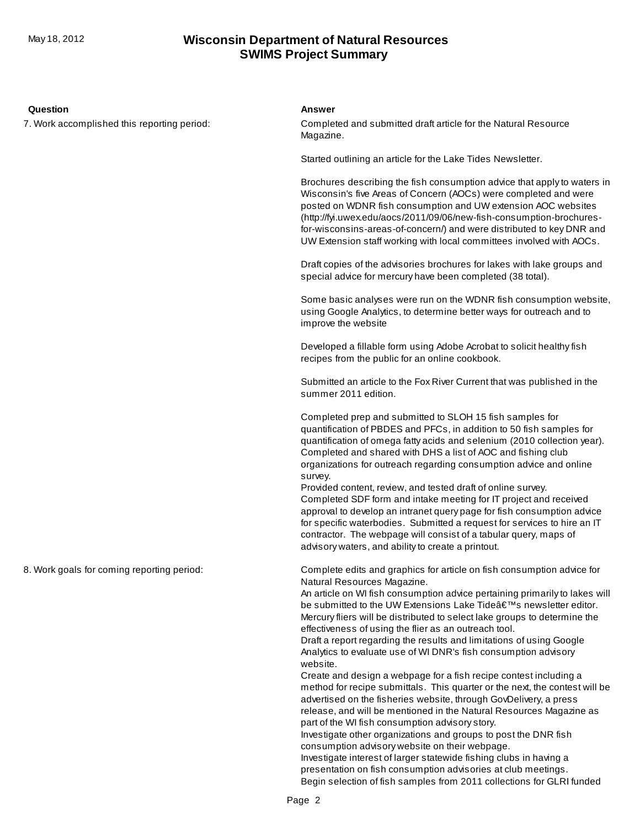### **SWIMS Project Summary** May 18, 2012 **Wisconsin Department of Natural Resources**

### **Question Answer**

7. Work accomplished this reporting period:

Completed and submitted draft article for the Natural Resource Magazine.

Started outlining an article for the Lake Tides Newsletter.

Brochures describing the fish consumption advice that apply to waters in Wisconsin's five Areas of Concern (AOCs) were completed and were posted on WDNR fish consumption and UW extension AOC websites (http://fyi.uwex.edu/aocs/2011/09/06/new-fish-consumption-brochuresfor-wisconsins-areas-of-concern/) and were distributed to key DNR and UW Extension staff working with local committees involved with AOCs.

Draft copies of the advisories brochures for lakes with lake groups and special advice for mercury have been completed (38 total).

Some basic analyses were run on the WDNR fish consumption website, using Google Analytics, to determine better ways for outreach and to improve the website

Developed a fillable form using Adobe Acrobat to solicit healthy fish recipes from the public for an online cookbook.

Submitted an article to the Fox River Current that was published in the summer 2011 edition.

Completed prep and submitted to SLOH 15 fish samples for quantification of PBDES and PFCs, in addition to 50 fish samples for quantification of omega fatty acids and selenium (2010 collection year). Completed and shared with DHS a list of AOC and fishing club organizations for outreach regarding consumption advice and online survey.

Provided content, review, and tested draft of online survey. Completed SDF form and intake meeting for IT project and received approval to develop an intranet query page for fish consumption advice for specific waterbodies. Submitted a request for services to hire an IT contractor. The webpage will consist of a tabular query, maps of advisory waters, and ability to create a printout.

Complete edits and graphics for article on fish consumption advice for Natural Resources Magazine.

An article on WI fish consumption advice pertaining primarily to lakes will be submitted to the UW Extensions Lake Tide's newsletter editor. Mercury fliers will be distributed to select lake groups to determine the effectiveness of using the flier as an outreach tool.

Draft a report regarding the results and limitations of using Google Analytics to evaluate use of WI DNR's fish consumption advisory website.

Create and design a webpage for a fish recipe contest including a method for recipe submittals. This quarter or the next, the contest will be advertised on the fisheries website, through GovDelivery, a press release, and will be mentioned in the Natural Resources Magazine as part of the WI fish consumption advisory story.

Investigate other organizations and groups to post the DNR fish consumption advisory website on their webpage.

Investigate interest of larger statewide fishing clubs in having a presentation on fish consumption advisories at club meetings. Begin selection of fish samples from 2011 collections for GLRI funded

8. Work goals for coming reporting period: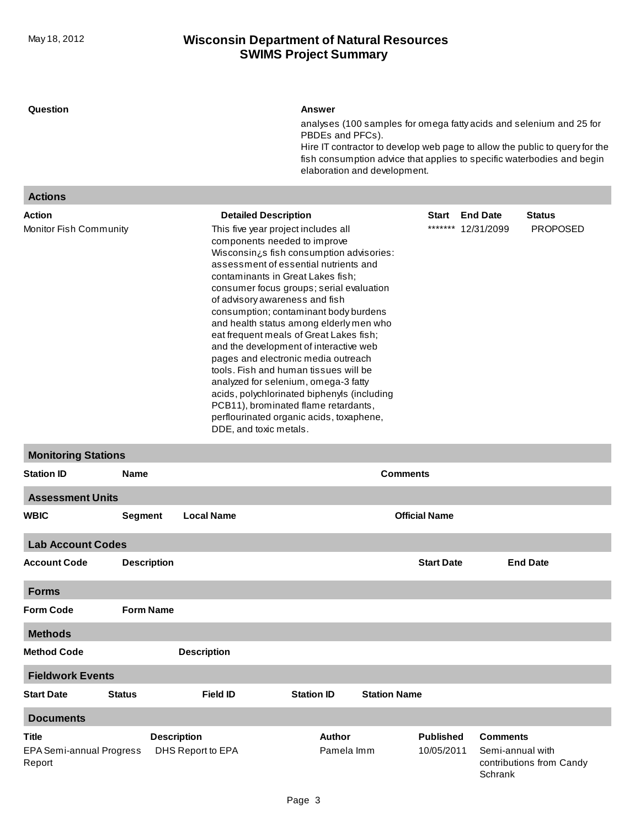## **SWIMS Project Summary** May 18, 2012 **Wisconsin Department of Natural Resources**

| Question                                  |                         |                             | Answer                                                                                                                                                                                                                                                                                                                                                                                                                                                                                                                                                                                                                                                                                                                                               |                      |                             |                          |
|-------------------------------------------|-------------------------|-----------------------------|------------------------------------------------------------------------------------------------------------------------------------------------------------------------------------------------------------------------------------------------------------------------------------------------------------------------------------------------------------------------------------------------------------------------------------------------------------------------------------------------------------------------------------------------------------------------------------------------------------------------------------------------------------------------------------------------------------------------------------------------------|----------------------|-----------------------------|--------------------------|
|                                           |                         |                             | analyses (100 samples for omega fatty acids and selenium and 25 for<br>PBDEs and PFCs).                                                                                                                                                                                                                                                                                                                                                                                                                                                                                                                                                                                                                                                              |                      |                             |                          |
|                                           |                         |                             | Hire IT contractor to develop web page to allow the public to query for the<br>fish consumption advice that applies to specific waterbodies and begin<br>elaboration and development.                                                                                                                                                                                                                                                                                                                                                                                                                                                                                                                                                                |                      |                             |                          |
| <b>Actions</b>                            |                         |                             |                                                                                                                                                                                                                                                                                                                                                                                                                                                                                                                                                                                                                                                                                                                                                      |                      |                             |                          |
| Action                                    |                         | <b>Detailed Description</b> |                                                                                                                                                                                                                                                                                                                                                                                                                                                                                                                                                                                                                                                                                                                                                      | Start                | <b>End Date</b>             | <b>Status</b>            |
| Monitor Fish Community                    |                         |                             | *******<br>This five year project includes all<br>components needed to improve<br>Wisconsin¿s fish consumption advisories:<br>assessment of essential nutrients and<br>contaminants in Great Lakes fish;<br>consumer focus groups; serial evaluation<br>of advisory awareness and fish<br>consumption; contaminant body burdens<br>and health status among elderly men who<br>eat frequent meals of Great Lakes fish;<br>and the development of interactive web<br>pages and electronic media outreach<br>tools. Fish and human tissues will be<br>analyzed for selenium, omega-3 fatty<br>acids, polychlorinated biphenyls (including<br>PCB11), brominated flame retardants,<br>perflourinated organic acids, toxaphene,<br>DDE, and toxic metals. |                      |                             | <b>PROPOSED</b>          |
| <b>Monitoring Stations</b>                |                         |                             |                                                                                                                                                                                                                                                                                                                                                                                                                                                                                                                                                                                                                                                                                                                                                      |                      |                             |                          |
| <b>Station ID</b>                         | <b>Comments</b><br>Name |                             |                                                                                                                                                                                                                                                                                                                                                                                                                                                                                                                                                                                                                                                                                                                                                      |                      |                             |                          |
| <b>Assessment Units</b>                   |                         |                             |                                                                                                                                                                                                                                                                                                                                                                                                                                                                                                                                                                                                                                                                                                                                                      |                      |                             |                          |
| <b>WBIC</b>                               | <b>Segment</b>          | <b>Local Name</b>           |                                                                                                                                                                                                                                                                                                                                                                                                                                                                                                                                                                                                                                                                                                                                                      | <b>Official Name</b> |                             |                          |
| <b>Lab Account Codes</b>                  |                         |                             |                                                                                                                                                                                                                                                                                                                                                                                                                                                                                                                                                                                                                                                                                                                                                      |                      |                             |                          |
| <b>Account Code</b>                       | <b>Description</b>      |                             |                                                                                                                                                                                                                                                                                                                                                                                                                                                                                                                                                                                                                                                                                                                                                      | <b>Start Date</b>    |                             | <b>End Date</b>          |
| <b>Forms</b>                              |                         |                             |                                                                                                                                                                                                                                                                                                                                                                                                                                                                                                                                                                                                                                                                                                                                                      |                      |                             |                          |
| <b>Form Code</b>                          | <b>Form Name</b>        |                             |                                                                                                                                                                                                                                                                                                                                                                                                                                                                                                                                                                                                                                                                                                                                                      |                      |                             |                          |
| <b>Methods</b>                            |                         |                             |                                                                                                                                                                                                                                                                                                                                                                                                                                                                                                                                                                                                                                                                                                                                                      |                      |                             |                          |
| <b>Method Code</b>                        |                         | <b>Description</b>          |                                                                                                                                                                                                                                                                                                                                                                                                                                                                                                                                                                                                                                                                                                                                                      |                      |                             |                          |
| <b>Fieldwork Events</b>                   |                         |                             |                                                                                                                                                                                                                                                                                                                                                                                                                                                                                                                                                                                                                                                                                                                                                      |                      |                             |                          |
| <b>Start Date</b>                         | <b>Status</b>           | <b>Field ID</b>             | <b>Station ID</b><br><b>Station Name</b>                                                                                                                                                                                                                                                                                                                                                                                                                                                                                                                                                                                                                                                                                                             |                      |                             |                          |
| <b>Documents</b>                          |                         |                             |                                                                                                                                                                                                                                                                                                                                                                                                                                                                                                                                                                                                                                                                                                                                                      |                      |                             |                          |
| Title                                     |                         | <b>Description</b>          | <b>Author</b>                                                                                                                                                                                                                                                                                                                                                                                                                                                                                                                                                                                                                                                                                                                                        | <b>Published</b>     | <b>Comments</b>             |                          |
| <b>EPA Semi-annual Progress</b><br>Report |                         | DHS Report to EPA           | Pamela Imm                                                                                                                                                                                                                                                                                                                                                                                                                                                                                                                                                                                                                                                                                                                                           | 10/05/2011           | Semi-annual with<br>Schrank | contributions from Candy |